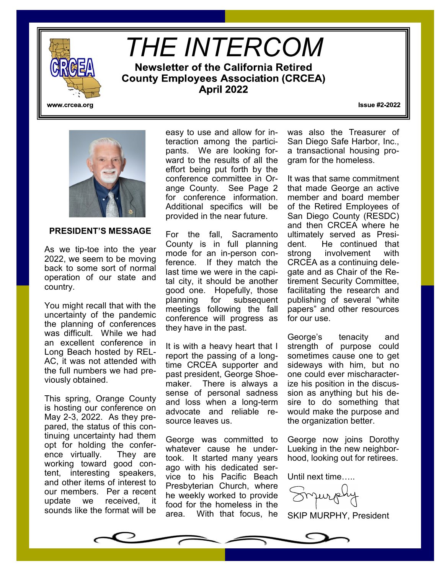

# *THE INTERCOM***Newsletter of the California Retired County Employees Association (CRCEA) April 2022**

www.crcea.org

**Issue #2-2022** 



#### **PRESIDENT'S MESSAGE**

As we tip-toe into the year 2022, we seem to be moving back to some sort of normal operation of our state and country.

You might recall that with the uncertainty of the pandemic the planning of conferences was difficult. While we had an excellent conference in Long Beach hosted by REL-AC, it was not attended with the full numbers we had previously obtained.

This spring, Orange County is hosting our conference on May 2-3, 2022. As they prepared, the status of this continuing uncertainty had them opt for holding the conference virtually. They are working toward good content, interesting speakers, and other items of interest to our members. Per a recent update we received, it sounds like the format will be

easy to use and allow for interaction among the participants. We are looking forward to the results of all the effort being put forth by the conference committee in Orange County. See Page 2 for conference information. Additional specifics will be provided in the near future.

For the fall, Sacramento County is in full planning mode for an in-person conference. If they match the last time we were in the capital city, it should be another good one. Hopefully, those planning for subsequent meetings following the fall conference will progress as they have in the past.

It is with a heavy heart that I report the passing of a longtime CRCEA supporter and past president, George Shoemaker. There is always a sense of personal sadness and loss when a long-term advocate and reliable resource leaves us.

George was committed to whatever cause he undertook. It started many years ago with his dedicated service to his Pacific Beach Presbyterian Church, where he weekly worked to provide food for the homeless in the area. With that focus, he was also the Treasurer of San Diego Safe Harbor, Inc., a transactional housing program for the homeless.

It was that same commitment that made George an active member and board member of the Retired Employees of San Diego County (RESDC) and then CRCEA where he ultimately served as President. He continued that strong involvement with CRCEA as a continuing delegate and as Chair of the Retirement Security Committee, facilitating the research and publishing of several "white papers" and other resources for our use.

George's tenacity and strength of purpose could sometimes cause one to get sideways with him, but no one could ever mischaracterize his position in the discussion as anything but his desire to do something that would make the purpose and the organization better.

George now joins Dorothy Lueking in the new neighborhood, looking out for retirees.

Until next time…..

Jurg

SKIP MURPHY, President

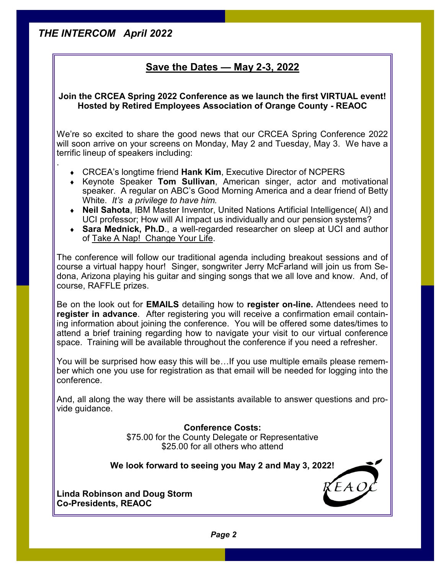.

### **Save the Dates — May 2-3, 2022**

### **Join the CRCEA Spring 2022 Conference as we launch the first VIRTUAL event! Hosted by Retired Employees Association of Orange County - REAOC**

We're so excited to share the good news that our CRCEA Spring Conference 2022 will soon arrive on your screens on Monday, May 2 and Tuesday, May 3. We have a terrific lineup of speakers including:

- CRCEA's longtime friend **Hank Kim**, Executive Director of NCPERS
- Keynote Speaker **Tom Sullivan**, American singer, actor and motivational speaker. A regular on ABC's Good Morning America and a dear friend of Betty White. *It's a privilege to have him.*
- **Neil Sahota**, IBM Master Inventor, United Nations Artificial Intelligence( AI) and UCI professor; How will AI impact us individually and our pension systems?
- **Sara Mednick, Ph.D**., a well-regarded researcher on sleep at UCI and author of Take A Nap! Change Your Life.

The conference will follow our traditional agenda including breakout sessions and of course a virtual happy hour! Singer, songwriter Jerry McFarland will join us from Sedona, Arizona playing his guitar and singing songs that we all love and know. And, of course, RAFFLE prizes.

Be on the look out for **EMAILS** detailing how to **register on-line.** Attendees need to **register in advance**. After registering you will receive a confirmation email containing information about joining the conference. You will be offered some dates/times to attend a brief training regarding how to navigate your visit to our virtual conference space. Training will be available throughout the conference if you need a refresher.

You will be surprised how easy this will be…If you use multiple emails please remember which one you use for registration as that email will be needed for logging into the conference.

And, all along the way there will be assistants available to answer questions and provide guidance.

**Conference Costs:**

\$75.00 for the County Delegate or Representative \$25.00 for all others who attend

**We look forward to seeing you May 2 and May 3, 2022!**

**Linda Robinson and Doug Storm Co-Presidents, REAOC**

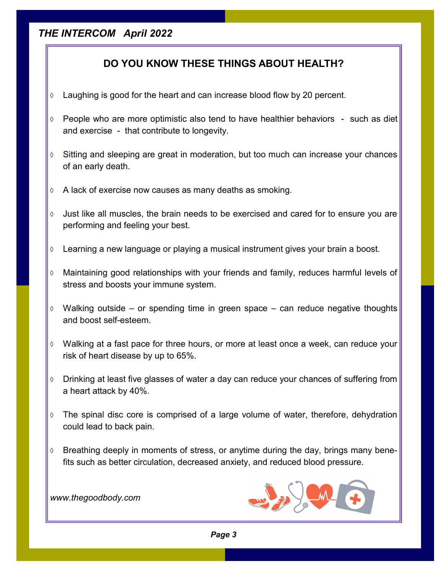### **DO YOU KNOW THESE THINGS ABOUT HEALTH?**

- Laughing is good for the heart and can increase blood flow by 20 percent.
- People who are more optimistic also tend to have healthier behaviors such as diet and exercise - that contribute to longevity.
- $\Diamond$  Sitting and sleeping are great in moderation, but too much can increase your chances of an early death.
- $\Diamond$  A lack of exercise now causes as many deaths as smoking.
- $\Diamond$  Just like all muscles, the brain needs to be exercised and cared for to ensure you are performing and feeling your best.
- Learning a new language or playing a musical instrument gives your brain a boost.
- Maintaining good relationships with your friends and family, reduces harmful levels of stress and boosts your immune system.
- $\Diamond$  Walking outside or spending time in green space can reduce negative thoughts and boost self-esteem.
- Walking at a fast pace for three hours, or more at least once a week, can reduce your risk of heart disease by up to 65%.
- Drinking at least five glasses of water a day can reduce your chances of suffering from a heart attack by 40%.
- $\Diamond$  The spinal disc core is comprised of a large volume of water, therefore, dehydration could lead to back pain.
- $\Diamond$  Breathing deeply in moments of stress, or anytime during the day, brings many benefits such as better circulation, decreased anxiety, and reduced blood pressure.

*www.thegoodbody.com*



*Page 3*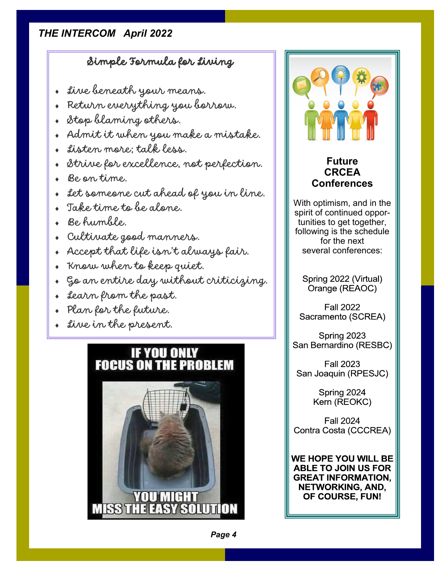# Simple Formula for Living

- + five beneath your means.
- Return everything you borrow.
- + Stop blaming others.
- Admit it when you make a mistake.
- Listen more; talk less.
- Strive for excellence, not perfection.
- Be on time.
- Let someone cut ahead of you in line.
- Take time to be alone.
- Be humble.
- Cultivate good manners.
- Accept that life isn't always fair.
- Know when to keep quiet.
- Go an entire day without criticizing.
- Learn from the past.
- Plan for the future.
- Live in the present.

# **IF YOU ONLY FOCUS ON THE PROBLEM**





### **Future CRCEA Conferences**

With optimism, and in the spirit of continued opportunities to get together, following is the schedule for the next several conferences:

Spring 2022 (Virtual) Orange (REAOC)

**Fall 2022** Sacramento (SCREA)

Spring 2023 San Bernardino (RESBC)

**Fall 2023** San Joaquin (RPESJC)

> Spring 2024 Kern (REOKC)

**Fall 2024** Contra Costa (CCCREA)

WE HOPE YOU WILL BE **ABLE TO JOIN US FOR GREAT INFORMATION, NETWORKING, AND,** OF COURSE, FUN!